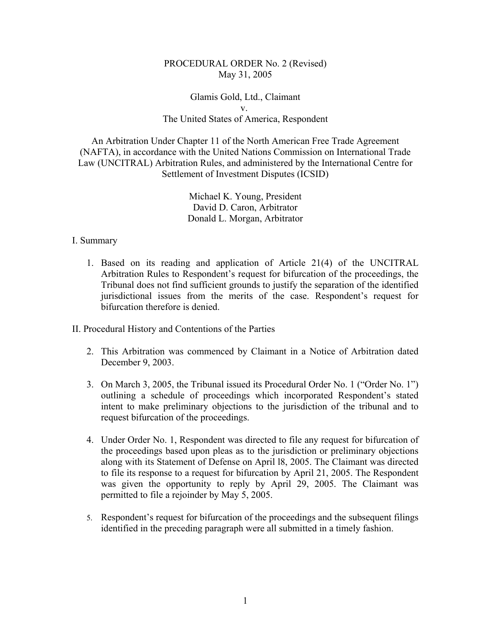## PROCEDURAL ORDER No. 2 (Revised) May 31, 2005

## Glamis Gold, Ltd., Claimant v. The United States of America, Respondent

An Arbitration Under Chapter 11 of the North American Free Trade Agreement (NAFTA), in accordance with the United Nations Commission on International Trade Law (UNCITRAL) Arbitration Rules, and administered by the International Centre for Settlement of Investment Disputes (ICSID)

> Michael K. Young, President David D. Caron, Arbitrator Donald L. Morgan, Arbitrator

## I. Summary

1. Based on its reading and application of Article 21(4) of the UNCITRAL Arbitration Rules to Respondent's request for bifurcation of the proceedings, the Tribunal does not find sufficient grounds to justify the separation of the identified jurisdictional issues from the merits of the case. Respondent's request for bifurcation therefore is denied.

II. Procedural History and Contentions of the Parties

- 2. This Arbitration was commenced by Claimant in a Notice of Arbitration dated December 9, 2003.
- 3. On March 3, 2005, the Tribunal issued its Procedural Order No. 1 ("Order No. 1") outlining a schedule of proceedings which incorporated Respondent's stated intent to make preliminary objections to the jurisdiction of the tribunal and to request bifurcation of the proceedings.
- 4. Under Order No. 1, Respondent was directed to file any request for bifurcation of the proceedings based upon pleas as to the jurisdiction or preliminary objections along with its Statement of Defense on April l8, 2005. The Claimant was directed to file its response to a request for bifurcation by April 21, 2005. The Respondent was given the opportunity to reply by April 29, 2005. The Claimant was permitted to file a rejoinder by May 5, 2005.
- 5. Respondent's request for bifurcation of the proceedings and the subsequent filings identified in the preceding paragraph were all submitted in a timely fashion.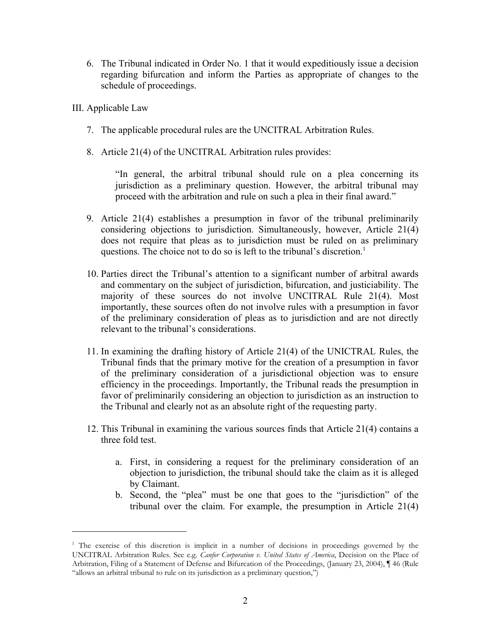- 6. The Tribunal indicated in Order No. 1 that it would expeditiously issue a decision regarding bifurcation and inform the Parties as appropriate of changes to the schedule of proceedings.
- III. Applicable Law
	- 7. The applicable procedural rules are the UNCITRAL Arbitration Rules.
	- 8. Article 21(4) of the UNCITRAL Arbitration rules provides:

"In general, the arbitral tribunal should rule on a plea concerning its jurisdiction as a preliminary question. However, the arbitral tribunal may proceed with the arbitration and rule on such a plea in their final award."

- 9. Article 21(4) establishes a presumption in favor of the tribunal preliminarily considering objections to jurisdiction. Simultaneously, however, Article 21(4) does not require that pleas as to jurisdiction must be ruled on as preliminary questions. The choice not to do so is left to the tribunal's discretion.<sup>1</sup>
- 10. Parties direct the Tribunal's attention to a significant number of arbitral awards and commentary on the subject of jurisdiction, bifurcation, and justiciability. The majority of these sources do not involve UNCITRAL Rule 21(4). Most importantly, these sources often do not involve rules with a presumption in favor of the preliminary consideration of pleas as to jurisdiction and are not directly relevant to the tribunal's considerations.
- 11. In examining the drafting history of Article 21(4) of the UNICTRAL Rules, the Tribunal finds that the primary motive for the creation of a presumption in favor of the preliminary consideration of a jurisdictional objection was to ensure efficiency in the proceedings. Importantly, the Tribunal reads the presumption in favor of preliminarily considering an objection to jurisdiction as an instruction to the Tribunal and clearly not as an absolute right of the requesting party.
- 12. This Tribunal in examining the various sources finds that Article 21(4) contains a three fold test.
	- a. First, in considering a request for the preliminary consideration of an objection to jurisdiction, the tribunal should take the claim as it is alleged by Claimant.
	- b. Second, the "plea" must be one that goes to the "jurisdiction" of the tribunal over the claim. For example, the presumption in Article 21(4)

<sup>&</sup>lt;sup>1</sup> The exercise of this discretion is implicit in a number of decisions in proceedings governed by the UNCITRAL Arbitration Rules. See e.g. *Canfor Corporation v. United States of America*, Decision on the Place of Arbitration, Filing of a Statement of Defense and Bifurcation of the Proceedings, (January 23, 2004), ¶ 46 (Rule "allows an arbitral tribunal to rule on its jurisdiction as a preliminary question,")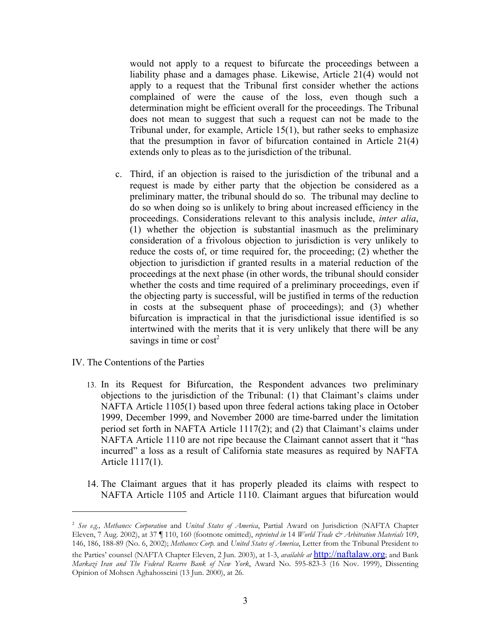would not apply to a request to bifurcate the proceedings between a liability phase and a damages phase. Likewise, Article 21(4) would not apply to a request that the Tribunal first consider whether the actions complained of were the cause of the loss, even though such a determination might be efficient overall for the proceedings. The Tribunal does not mean to suggest that such a request can not be made to the Tribunal under, for example, Article 15(1), but rather seeks to emphasize that the presumption in favor of bifurcation contained in Article 21(4) extends only to pleas as to the jurisdiction of the tribunal.

- c. Third, if an objection is raised to the jurisdiction of the tribunal and a request is made by either party that the objection be considered as a preliminary matter, the tribunal should do so. The tribunal may decline to do so when doing so is unlikely to bring about increased efficiency in the proceedings. Considerations relevant to this analysis include, *inter alia*, (1) whether the objection is substantial inasmuch as the preliminary consideration of a frivolous objection to jurisdiction is very unlikely to reduce the costs of, or time required for, the proceeding; (2) whether the objection to jurisdiction if granted results in a material reduction of the proceedings at the next phase (in other words, the tribunal should consider whether the costs and time required of a preliminary proceedings, even if the objecting party is successful, will be justified in terms of the reduction in costs at the subsequent phase of proceedings); and (3) whether bifurcation is impractical in that the jurisdictional issue identified is so intertwined with the merits that it is very unlikely that there will be any savings in time or  $cost<sup>2</sup>$
- IV. The Contentions of the Parties
	- 13. In its Request for Bifurcation, the Respondent advances two preliminary objections to the jurisdiction of the Tribunal: (1) that Claimant's claims under NAFTA Article 1105(1) based upon three federal actions taking place in October 1999, December 1999, and November 2000 are time-barred under the limitation period set forth in NAFTA Article 1117(2); and (2) that Claimant's claims under NAFTA Article 1110 are not ripe because the Claimant cannot assert that it "has incurred" a loss as a result of California state measures as required by NAFTA Article 1117(1).
	- 14. The Claimant argues that it has properly pleaded its claims with respect to NAFTA Article 1105 and Article 1110. Claimant argues that bifurcation would

<sup>2</sup> *See e.g., Methanex Corporation* and *United States of America*, Partial Award on Jurisdiction (NAFTA Chapter Eleven, 7 Aug. 2002), at 37 ¶ 110, 160 (footnote omitted), *reprinted in* 14 *World Trade & Arbitration Materials* 109, 146, 186, 188-89 (No. 6, 2002); *Methanex Corp.* and *United States of America*, Letter from the Tribunal President to the Parties' counsel (NAFTA Chapter Eleven, 2 Jun. 2003), at 1-3, *available at* http://naftalaw.org; and Bank

*Markazi Iran and The Federal Reserve Bank of New York*, Award No. 595-823-3 (16 Nov. 1999), Dissenting Opinion of Mohsen Aghahosseini (13 Jun. 2000), at 26.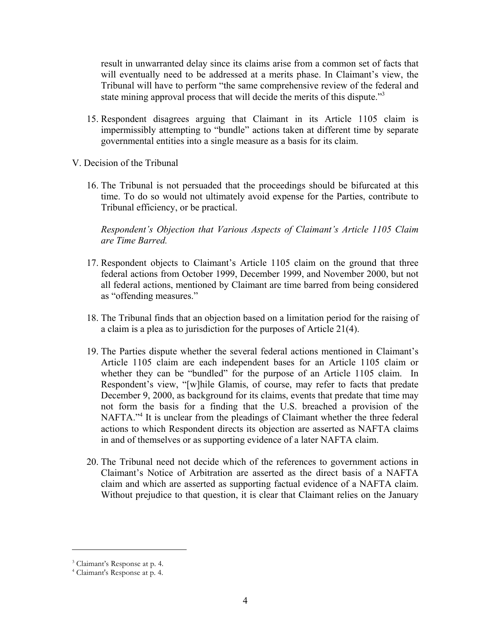result in unwarranted delay since its claims arise from a common set of facts that will eventually need to be addressed at a merits phase. In Claimant's view, the Tribunal will have to perform "the same comprehensive review of the federal and state mining approval process that will decide the merits of this dispute."<sup>3</sup>

- 15. Respondent disagrees arguing that Claimant in its Article 1105 claim is impermissibly attempting to "bundle" actions taken at different time by separate governmental entities into a single measure as a basis for its claim.
- V. Decision of the Tribunal
	- 16. The Tribunal is not persuaded that the proceedings should be bifurcated at this time. To do so would not ultimately avoid expense for the Parties, contribute to Tribunal efficiency, or be practical.

*Respondent's Objection that Various Aspects of Claimant's Article 1105 Claim are Time Barred.*

- 17. Respondent objects to Claimant's Article 1105 claim on the ground that three federal actions from October 1999, December 1999, and November 2000, but not all federal actions, mentioned by Claimant are time barred from being considered as "offending measures."
- 18. The Tribunal finds that an objection based on a limitation period for the raising of a claim is a plea as to jurisdiction for the purposes of Article 21(4).
- 19. The Parties dispute whether the several federal actions mentioned in Claimant's Article 1105 claim are each independent bases for an Article 1105 claim or whether they can be "bundled" for the purpose of an Article 1105 claim. In Respondent's view, "[w]hile Glamis, of course, may refer to facts that predate December 9, 2000, as background for its claims, events that predate that time may not form the basis for a finding that the U.S. breached a provision of the NAFTA."<sup>4</sup> It is unclear from the pleadings of Claimant whether the three federal actions to which Respondent directs its objection are asserted as NAFTA claims in and of themselves or as supporting evidence of a later NAFTA claim.
- 20. The Tribunal need not decide which of the references to government actions in Claimant's Notice of Arbitration are asserted as the direct basis of a NAFTA claim and which are asserted as supporting factual evidence of a NAFTA claim. Without prejudice to that question, it is clear that Claimant relies on the January

<sup>3</sup> Claimant's Response at p. 4.

<sup>4</sup> Claimant's Response at p. 4.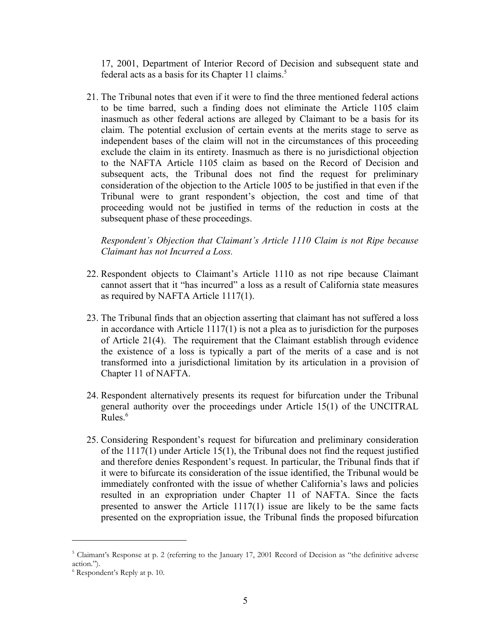17, 2001, Department of Interior Record of Decision and subsequent state and federal acts as a basis for its Chapter 11 claims.<sup>5</sup>

21. The Tribunal notes that even if it were to find the three mentioned federal actions to be time barred, such a finding does not eliminate the Article 1105 claim inasmuch as other federal actions are alleged by Claimant to be a basis for its claim. The potential exclusion of certain events at the merits stage to serve as independent bases of the claim will not in the circumstances of this proceeding exclude the claim in its entirety. Inasmuch as there is no jurisdictional objection to the NAFTA Article 1105 claim as based on the Record of Decision and subsequent acts, the Tribunal does not find the request for preliminary consideration of the objection to the Article 1005 to be justified in that even if the Tribunal were to grant respondent's objection, the cost and time of that proceeding would not be justified in terms of the reduction in costs at the subsequent phase of these proceedings.

*Respondent's Objection that Claimant's Article 1110 Claim is not Ripe because Claimant has not Incurred a Loss.*

- 22. Respondent objects to Claimant's Article 1110 as not ripe because Claimant cannot assert that it "has incurred" a loss as a result of California state measures as required by NAFTA Article 1117(1).
- 23. The Tribunal finds that an objection asserting that claimant has not suffered a loss in accordance with Article 1117(1) is not a plea as to jurisdiction for the purposes of Article 21(4). The requirement that the Claimant establish through evidence the existence of a loss is typically a part of the merits of a case and is not transformed into a jurisdictional limitation by its articulation in a provision of Chapter 11 of NAFTA.
- 24. Respondent alternatively presents its request for bifurcation under the Tribunal general authority over the proceedings under Article 15(1) of the UNCITRAL Rules. $6$
- 25. Considering Respondent's request for bifurcation and preliminary consideration of the 1117(1) under Article 15(1), the Tribunal does not find the request justified and therefore denies Respondent's request. In particular, the Tribunal finds that if it were to bifurcate its consideration of the issue identified, the Tribunal would be immediately confronted with the issue of whether California's laws and policies resulted in an expropriation under Chapter 11 of NAFTA. Since the facts presented to answer the Article 1117(1) issue are likely to be the same facts presented on the expropriation issue, the Tribunal finds the proposed bifurcation

<sup>&</sup>lt;sup>5</sup> Claimant's Response at p. 2 (referring to the January 17, 2001 Record of Decision as "the definitive adverse action.").

<sup>6</sup> Respondent's Reply at p. 10.